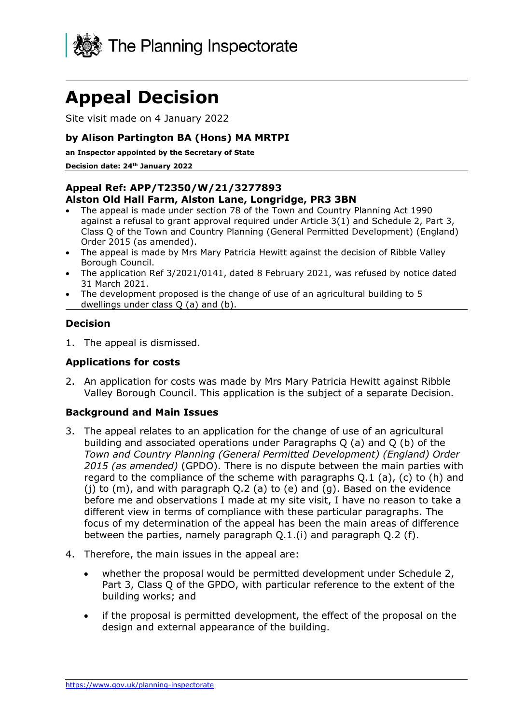

# **Appeal Decision**

Site visit made on 4 January 2022

## **by Alison Partington BA (Hons) MA MRTPI**

**an Inspector appointed by the Secretary of State** 

**Decision date: 24th January 2022**

# **Appeal Ref: APP/T2350/W/21/3277893**

#### **Alston Old Hall Farm, Alston Lane, Longridge, PR3 3BN**

- The appeal is made under section 78 of the Town and Country Planning Act 1990 against a refusal to grant approval required under Article 3(1) and Schedule 2, Part 3, Class Q of the Town and Country Planning (General Permitted Development) (England) Order 2015 (as amended).
- The appeal is made by Mrs Mary Patricia Hewitt against the decision of Ribble Valley Borough Council.
- The application Ref 3/2021/0141, dated 8 February 2021, was refused by notice dated 31 March 2021.
- The development proposed is the change of use of an agricultural building to 5 dwellings under class Q (a) and (b).

# **Decision**

1. The appeal is dismissed.

#### **Applications for costs**

2. An application for costs was made by Mrs Mary Patricia Hewitt against Ribble Valley Borough Council. This application is the subject of a separate Decision.

#### **Background and Main Issues**

- 3. The appeal relates to an application for the change of use of an agricultural building and associated operations under Paragraphs Q (a) and Q (b) of the *Town and Country Planning (General Permitted Development) (England) Order 2015 (as amended)* (GPDO). There is no dispute between the main parties with regard to the compliance of the scheme with paragraphs Q.1 (a), (c) to (h) and (j) to (m), and with paragraph Q.2 (a) to (e) and (g). Based on the evidence before me and observations I made at my site visit, I have no reason to take a different view in terms of compliance with these particular paragraphs. The focus of my determination of the appeal has been the main areas of difference between the parties, namely paragraph  $Q(1, i)$  and paragraph  $Q(2, i)$ .
- 4. Therefore, the main issues in the appeal are:
	- whether the proposal would be permitted development under Schedule 2, Part 3, Class Q of the GPDO, with particular reference to the extent of the building works; and
	- if the proposal is permitted development, the effect of the proposal on the design and external appearance of the building.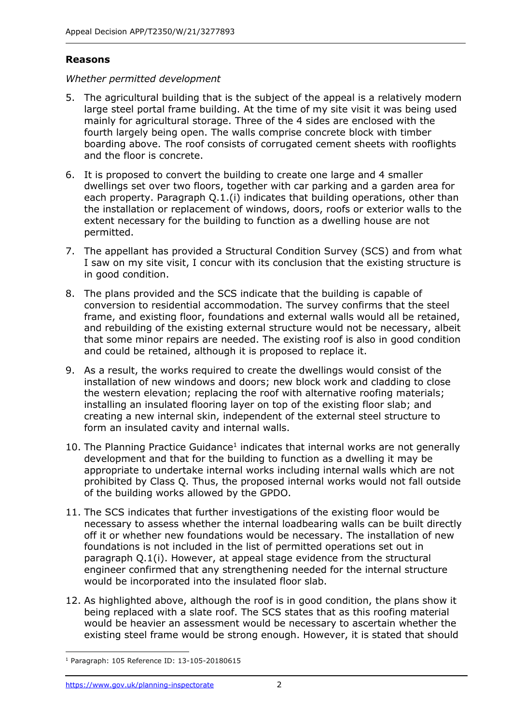## **Reasons**

#### *Whether permitted development*

- 5. The agricultural building that is the subject of the appeal is a relatively modern large steel portal frame building. At the time of my site visit it was being used mainly for agricultural storage. Three of the 4 sides are enclosed with the fourth largely being open. The walls comprise concrete block with timber boarding above. The roof consists of corrugated cement sheets with rooflights and the floor is concrete.
- 6. It is proposed to convert the building to create one large and 4 smaller dwellings set over two floors, together with car parking and a garden area for each property. Paragraph Q.1.(i) indicates that building operations, other than the installation or replacement of windows, doors, roofs or exterior walls to the extent necessary for the building to function as a dwelling house are not permitted.
- 7. The appellant has provided a Structural Condition Survey (SCS) and from what I saw on my site visit, I concur with its conclusion that the existing structure is in good condition.
- 8. The plans provided and the SCS indicate that the building is capable of conversion to residential accommodation. The survey confirms that the steel frame, and existing floor, foundations and external walls would all be retained, and rebuilding of the existing external structure would not be necessary, albeit that some minor repairs are needed. The existing roof is also in good condition and could be retained, although it is proposed to replace it.
- 9. As a result, the works required to create the dwellings would consist of the installation of new windows and doors; new block work and cladding to close the western elevation; replacing the roof with alternative roofing materials; installing an insulated flooring layer on top of the existing floor slab; and creating a new internal skin, independent of the external steel structure to form an insulated cavity and internal walls.
- 10. The Planning Practice Guidance<sup>1</sup> indicates that internal works are not generally development and that for the building to function as a dwelling it may be appropriate to undertake internal works including internal walls which are not prohibited by Class Q. Thus, the proposed internal works would not fall outside of the building works allowed by the GPDO.
- 11. The SCS indicates that further investigations of the existing floor would be necessary to assess whether the internal loadbearing walls can be built directly off it or whether new foundations would be necessary. The installation of new foundations is not included in the list of permitted operations set out in paragraph Q.1(i). However, at appeal stage evidence from the structural engineer confirmed that any strengthening needed for the internal structure would be incorporated into the insulated floor slab.
- 12. As highlighted above, although the roof is in good condition, the plans show it being replaced with a slate roof. The SCS states that as this roofing material would be heavier an assessment would be necessary to ascertain whether the existing steel frame would be strong enough. However, it is stated that should

<sup>1</sup> Paragraph: 105 Reference ID: 13-105-20180615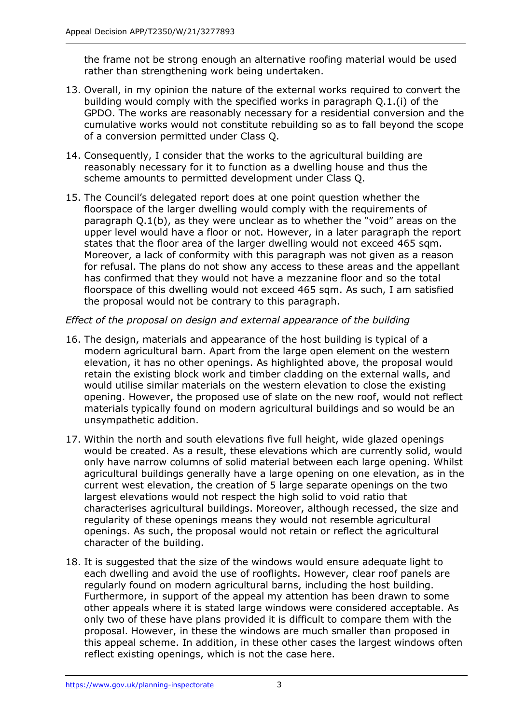the frame not be strong enough an alternative roofing material would be used rather than strengthening work being undertaken.

- 13. Overall, in my opinion the nature of the external works required to convert the building would comply with the specified works in paragraph Q.1.(i) of the GPDO. The works are reasonably necessary for a residential conversion and the cumulative works would not constitute rebuilding so as to fall beyond the scope of a conversion permitted under Class Q.
- 14. Consequently, I consider that the works to the agricultural building are reasonably necessary for it to function as a dwelling house and thus the scheme amounts to permitted development under Class Q.
- 15. The Council's delegated report does at one point question whether the floorspace of the larger dwelling would comply with the requirements of paragraph Q.1(b), as they were unclear as to whether the "void" areas on the upper level would have a floor or not. However, in a later paragraph the report states that the floor area of the larger dwelling would not exceed 465 sqm. Moreover, a lack of conformity with this paragraph was not given as a reason for refusal. The plans do not show any access to these areas and the appellant has confirmed that they would not have a mezzanine floor and so the total floorspace of this dwelling would not exceed 465 sqm. As such, I am satisfied the proposal would not be contrary to this paragraph.

# *Effect of the proposal on design and external appearance of the building*

- 16. The design, materials and appearance of the host building is typical of a modern agricultural barn. Apart from the large open element on the western elevation, it has no other openings. As highlighted above, the proposal would retain the existing block work and timber cladding on the external walls, and would utilise similar materials on the western elevation to close the existing opening. However, the proposed use of slate on the new roof, would not reflect materials typically found on modern agricultural buildings and so would be an unsympathetic addition.
- 17. Within the north and south elevations five full height, wide glazed openings would be created. As a result, these elevations which are currently solid, would only have narrow columns of solid material between each large opening. Whilst agricultural buildings generally have a large opening on one elevation, as in the current west elevation, the creation of 5 large separate openings on the two largest elevations would not respect the high solid to void ratio that characterises agricultural buildings. Moreover, although recessed, the size and regularity of these openings means they would not resemble agricultural openings. As such, the proposal would not retain or reflect the agricultural character of the building.
- 18. It is suggested that the size of the windows would ensure adequate light to each dwelling and avoid the use of rooflights. However, clear roof panels are regularly found on modern agricultural barns, including the host building. Furthermore, in support of the appeal my attention has been drawn to some other appeals where it is stated large windows were considered acceptable. As only two of these have plans provided it is difficult to compare them with the proposal. However, in these the windows are much smaller than proposed in this appeal scheme. In addition, in these other cases the largest windows often reflect existing openings, which is not the case here.